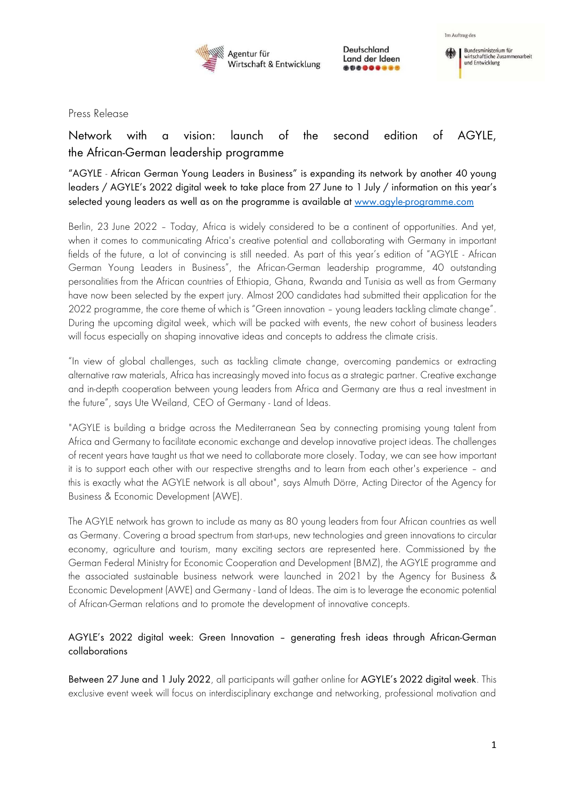

Deutschland Land der Ideen \*\*\*\*\*\*\*\*\*



Press Release

# Network with a vision: launch of the second edition of AGYLE, the African-German leadership programme

"AGYLE - African German Young Leaders in Business" is expanding its network by another 40 young leaders / AGYLE's 2022 digital week to take place from 27 June to 1 July / information on this year's selected young leaders as well as on the programme is available at [www.agyle-programme.com](http://www.agyle-programme.com/)

Berlin, 23 June 2022 – Today, Africa is widely considered to be a continent of opportunities. And yet, when it comes to communicating Africa's creative potential and collaborating with Germany in important fields of the future, a lot of convincing is still needed. As part of this year's edition of "AGYLE - African German Young Leaders in Business", the African-German leadership programme, 40 outstanding personalities from the African countries of Ethiopia, Ghana, Rwanda and Tunisia as well as from Germany have now been selected by the expert jury. Almost 200 candidates had submitted their application for the 2022 programme, the core theme of which is "Green innovation – young leaders tackling climate change". During the upcoming digital week, which will be packed with events, the new cohort of business leaders will focus especially on shaping innovative ideas and concepts to address the climate crisis.

"In view of global challenges, such as tackling climate change, overcoming pandemics or extracting alternative raw materials, Africa has increasingly moved into focus as a strategic partner. Creative exchange and in-depth cooperation between young leaders from Africa and Germany are thus a real investment in the future", says Ute Weiland, CEO of Germany - Land of Ideas.

"AGYLE is building a bridge across the Mediterranean Sea by connecting promising young talent from Africa and Germany to facilitate economic exchange and develop innovative project ideas. The challenges of recent years have taught us that we need to collaborate more closely. Today, we can see how important it is to support each other with our respective strengths and to learn from each other's experience – and this is exactly what the AGYLE network is all about", says Almuth Dörre, Acting Director of the Agency for Business & Economic Development (AWE).

The AGYLE network has grown to include as many as 80 young leaders from four African countries as well as Germany. Covering a broad spectrum from start-ups, new technologies and green innovations to circular economy, agriculture and tourism, many exciting sectors are represented here. Commissioned by the German Federal Ministry for Economic Cooperation and Development (BMZ), the AGYLE programme and the associated sustainable business network were launched in 2021 by the Agency for Business & Economic Development (AWE) and Germany - Land of Ideas. The aim is to leverage the economic potential of African-German relations and to promote the development of innovative concepts.

## AGYLE's 2022 digital week: Green Innovation – generating fresh ideas through African-German collaborations

Between 27 June and 1 July 2022, all participants will gather online for AGYLE's 2022 digital week. This exclusive event week will focus on interdisciplinary exchange and networking, professional motivation and